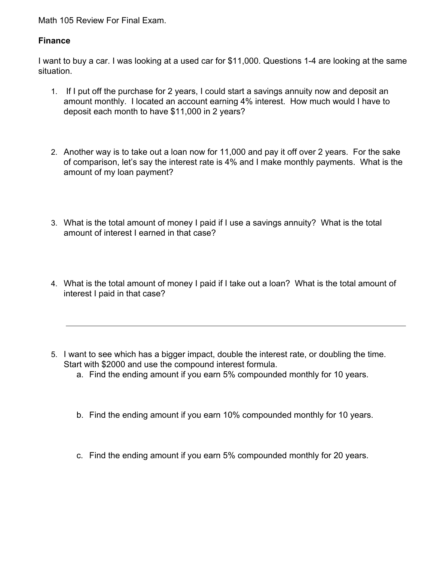Math 105 Review For Final Exam.

## **Finance**

I want to buy a car. I was looking at a used car for \$11,000. Questions 1-4 are looking at the same situation.

- 1. If I put off the purchase for 2 years, I could start a savings annuity now and deposit an amount monthly. I located an account earning 4% interest. How much would I have to deposit each month to have \$11,000 in 2 years?
- 2. Another way is to take out a loan now for 11,000 and pay it off over 2 years. For the sake of comparison, let's say the interest rate is 4% and I make monthly payments. What is the amount of my loan payment?
- 3. What is the total amount of money I paid if I use a savings annuity? What is the total amount of interest I earned in that case?
- 4. What is the total amount of money I paid if I take out a loan? What is the total amount of interest I paid in that case?
- 5. I want to see which has a bigger impact, double the interest rate, or doubling the time. Start with \$2000 and use the compound interest formula.
	- a. Find the ending amount if you earn 5% compounded monthly for 10 years.
	- b. Find the ending amount if you earn 10% compounded monthly for 10 years.
	- c. Find the ending amount if you earn 5% compounded monthly for 20 years.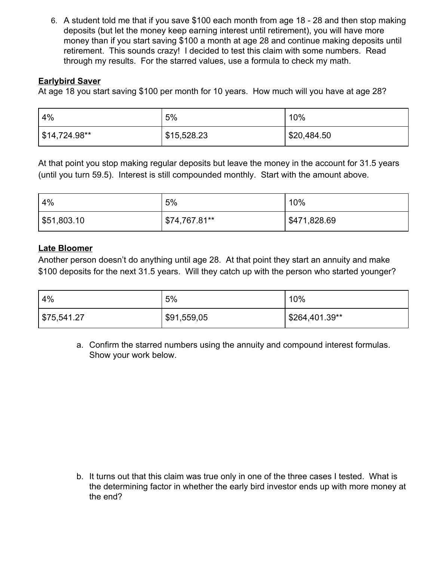6. A student told me that if you save \$100 each month from age 18 - 28 and then stop making deposits (but let the money keep earning interest until retirement), you will have more money than if you start saving \$100 a month at age 28 and continue making deposits until retirement. This sounds crazy! I decided to test this claim with some numbers. Read through my results. For the starred values, use a formula to check my math.

# **Earlybird Saver**

At age 18 you start saving \$100 per month for 10 years. How much will you have at age 28?

| 4%              | 5%          | 10%         |
|-----------------|-------------|-------------|
| ∫ \$14,724.98** | \$15,528.23 | \$20,484.50 |

At that point you stop making regular deposits but leave the money in the account for 31.5 years (until you turn 59.5). Interest is still compounded monthly. Start with the amount above.

| 4%                        | 5%            | 10%          |
|---------------------------|---------------|--------------|
| $\frac{1}{2}$ \$51,803.10 | \$74,767.81** | \$471,828.69 |

## **Late Bloomer**

Another person doesn't do anything until age 28. At that point they start an annuity and make \$100 deposits for the next 31.5 years. Will they catch up with the person who started younger?

| 4%          | 5%          | 10%            |
|-------------|-------------|----------------|
| \$75,541.27 | \$91,559,05 | \$264,401.39** |

a. Confirm the starred numbers using the annuity and compound interest formulas. Show your work below.

b. It turns out that this claim was true only in one of the three cases I tested. What is the determining factor in whether the early bird investor ends up with more money at the end?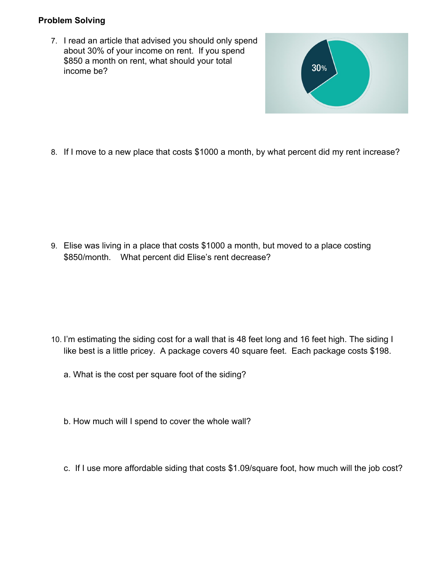# **Problem Solving**

7. I read an article that advised you should only spend about 30% of your income on rent. If you spend \$850 a month on rent, what should your total income be?



8. If I move to a new place that costs \$1000 a month, by what percent did my rent increase?

9. Elise was living in a place that costs \$1000 a month, but moved to a place costing \$850/month. What percent did Elise's rent decrease?

- 10. I'm estimating the siding cost for a wall that is 48 feet long and 16 feet high. The siding I like best is a little pricey. A package covers 40 square feet. Each package costs \$198.
	- a. What is the cost per square foot of the siding?
	- b. How much will I spend to cover the whole wall?
	- c. If I use more affordable siding that costs \$1.09/square foot, how much will the job cost?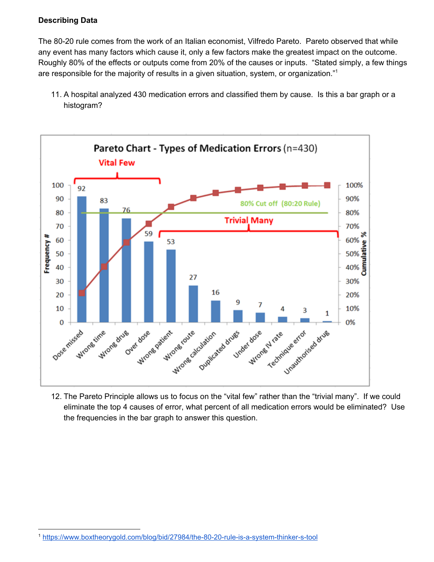#### **Describing Data**

The 80-20 rule comes from the work of an Italian economist, Vilfredo Pareto. Pareto observed that while any event has many factors which cause it, only a few factors make the greatest impact on the outcome. Roughly 80% of the effects or outputs come from 20% of the causes or inputs. "Stated simply, a few things are responsible for the majority of results in a given situation, system, or organization."<sup>1</sup>

11. A hospital analyzed 430 medication errors and classified them by cause. Is this a bar graph or a histogram?



12. The Pareto Principle allows us to focus on the "vital few" rather than the "trivial many". If we could eliminate the top 4 causes of error, what percent of all medication errors would be eliminated? Use the frequencies in the bar graph to answer this question.

<sup>1</sup> <https://www.boxtheorygold.com/blog/bid/27984/the-80-20-rule-is-a-system-thinker-s-tool>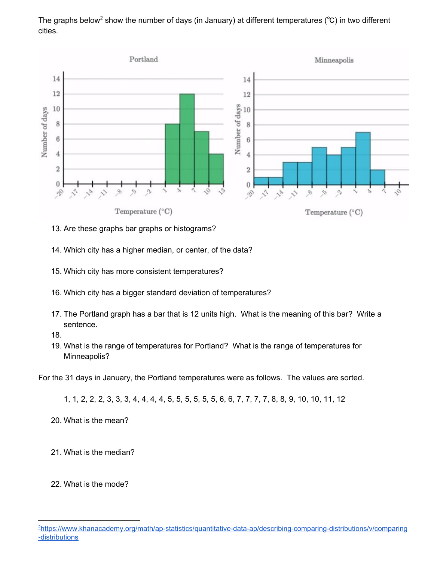The graphs below<sup>2</sup> show the number of days (in January) at different temperatures (°C) in two different cities.



- 13. Are these graphs bar graphs or histograms?
- 14. Which city has a higher median, or center, of the data?
- 15. Which city has more consistent temperatures?
- 16. Which city has a bigger standard deviation of temperatures?
- 17. The Portland graph has a bar that is 12 units high. What is the meaning of this bar? Write a sentence.
- 18.
- 19. What is the range of temperatures for Portland? What is the range of temperatures for Minneapolis?

For the 31 days in January, the Portland temperatures were as follows. The values are sorted.

1, 1, 2, 2, 2, 3, 3, 3, 4, 4, 4, 4, 5, 5, 5, 5, 5, 5, 6, 6, 7, 7, 7, 7, 8, 8, 9, 10, 10, 11, 12

- 20. What is the mean?
- 21. What is the median?
- 22. What is the mode?

<sup>2</sup>[https://www.khanacademy.org/math/ap-statistics/quantitative-data-ap/describing-comparing-distributions/v/comparing](https://www.khanacademy.org/math/ap-statistics/quantitative-data-ap/describing-comparing-distributions/v/comparing-distributions) [-distributions](https://www.khanacademy.org/math/ap-statistics/quantitative-data-ap/describing-comparing-distributions/v/comparing-distributions)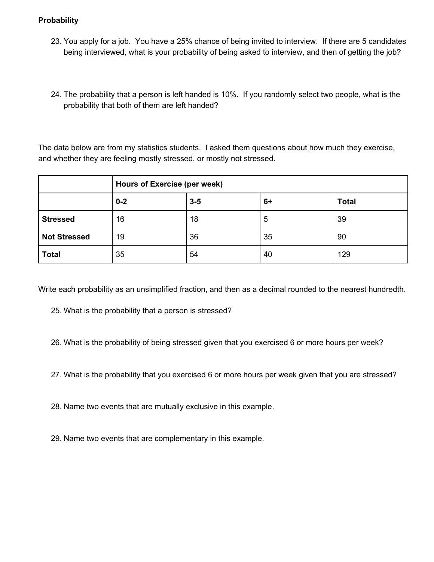#### **Probability**

- 23. You apply for a job. You have a 25% chance of being invited to interview. If there are 5 candidates being interviewed, what is your probability of being asked to interview, and then of getting the job?
- 24. The probability that a person is left handed is 10%. If you randomly select two people, what is the probability that both of them are left handed?

The data below are from my statistics students. I asked them questions about how much they exercise, and whether they are feeling mostly stressed, or mostly not stressed.

|                     | Hours of Exercise (per week) |         |      |              |
|---------------------|------------------------------|---------|------|--------------|
|                     | $0 - 2$                      | $3 - 5$ | $6+$ | <b>Total</b> |
| <b>Stressed</b>     | 16                           | 18      | 5    | 39           |
| <b>Not Stressed</b> | 19                           | 36      | 35   | 90           |
| <b>Total</b>        | 35                           | 54      | 40   | 129          |

Write each probability as an unsimplified fraction, and then as a decimal rounded to the nearest hundredth.

- 25. What is the probability that a person is stressed?
- 26. What is the probability of being stressed given that you exercised 6 or more hours per week?
- 27. What is the probability that you exercised 6 or more hours per week given that you are stressed?
- 28. Name two events that are mutually exclusive in this example.
- 29. Name two events that are complementary in this example.